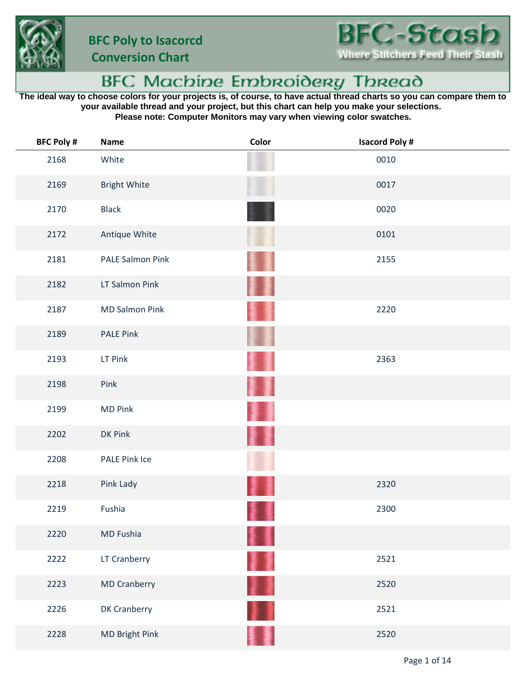

## BFC Machine Embroidery Thread

**The ideal way to choose colors for your projects is, of course, to have actual thread charts so you can compare them to your available thread and your project, but this chart can help you make your selections. Please note: Computer Monitors may vary when viewing color swatches.**

| <b>BFC Poly #</b> | Name                  | Color     | <b>Isacord Poly#</b> |
|-------------------|-----------------------|-----------|----------------------|
| 2168              | White                 |           | 0010                 |
| 2169              | <b>Bright White</b>   |           | 0017                 |
| 2170              | <b>Black</b>          |           | 0020                 |
| 2172              | Antique White         |           | 0101                 |
| 2181              | PALE Salmon Pink      |           | 2155                 |
| 2182              | LT Salmon Pink        | 濐         |                      |
| 2187              | <b>MD Salmon Pink</b> |           | 2220                 |
| 2189              | <b>PALE Pink</b>      |           |                      |
| 2193              | LT Pink               |           | 2363                 |
| 2198              | Pink                  |           |                      |
| 2199              | <b>MD Pink</b>        |           |                      |
| 2202              | DK Pink               |           |                      |
| 2208              | PALE Pink Ice         |           |                      |
| 2218              | Pink Lady             |           | 2320                 |
| 2219              | Fushia                |           | 2300                 |
| 2220              | MD Fushia             |           |                      |
| 2222              | LT Cranberry          | 菲量        | 2521                 |
| 2223              | <b>MD Cranberry</b>   | <b>DE</b> | 2520                 |
| 2226              | DK Cranberry          |           | 2521                 |
| 2228              | MD Bright Pink        |           | 2520                 |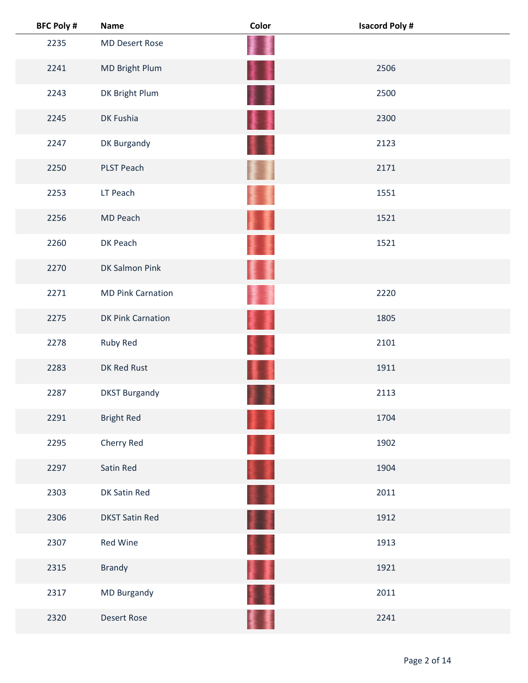| <b>BFC Poly #</b> | <b>Name</b>              | Color | <b>Isacord Poly#</b> |
|-------------------|--------------------------|-------|----------------------|
| 2235              | <b>MD Desert Rose</b>    |       |                      |
| 2241              | MD Bright Plum           | łł    | 2506                 |
| 2243              | DK Bright Plum           | 東京 さん | 2500                 |
| 2245              | DK Fushia                | ł     | 2300                 |
| 2247              | DK Burgandy              |       | 2123                 |
| 2250              | <b>PLST Peach</b>        |       | 2171                 |
| 2253              | LT Peach                 |       | 1551                 |
| 2256              | MD Peach                 |       | 1521                 |
| 2260              | DK Peach                 |       | 1521                 |
| 2270              | <b>DK Salmon Pink</b>    |       |                      |
| 2271              | <b>MD Pink Carnation</b> |       | 2220                 |
| 2275              | DK Pink Carnation        | 凄     | 1805                 |
| 2278              | Ruby Red                 |       | 2101                 |
| 2283              | DK Red Rust              |       | 1911                 |
| 2287              | <b>DKST Burgandy</b>     |       | 2113                 |
| 2291              | <b>Bright Red</b>        |       | 1704                 |
| 2295              | Cherry Red               |       | 1902                 |
| 2297              | Satin Red                |       | 1904                 |
| 2303              | DK Satin Red             |       | 2011                 |
| 2306              | <b>DKST Satin Red</b>    | H     | 1912                 |
| 2307              | Red Wine                 | ≨ ₹   | 1913                 |
| 2315              | <b>Brandy</b>            | T     | 1921                 |
| 2317              | MD Burgandy              |       | 2011                 |
| 2320              | <b>Desert Rose</b>       |       | 2241                 |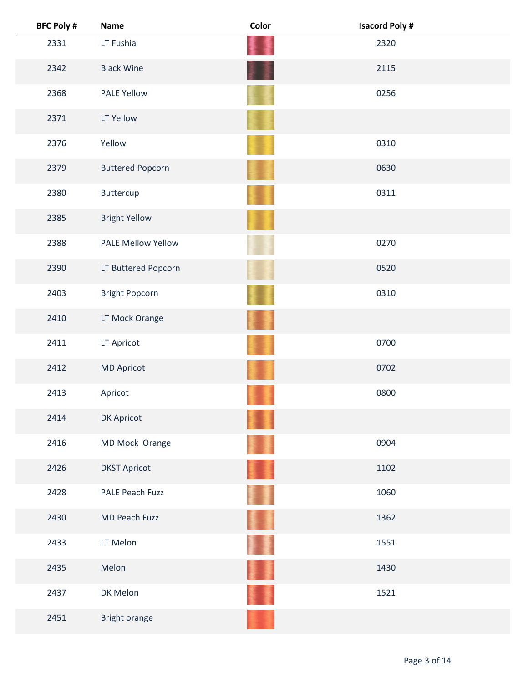| <b>BFC Poly #</b> | <b>Name</b>               | Color | <b>Isacord Poly#</b> |  |
|-------------------|---------------------------|-------|----------------------|--|
| 2331              | LT Fushia                 |       | 2320                 |  |
| 2342              | <b>Black Wine</b>         |       | 2115                 |  |
| 2368              | <b>PALE Yellow</b>        |       | 0256                 |  |
| 2371              | LT Yellow                 |       |                      |  |
| 2376              | Yellow                    |       | 0310                 |  |
| 2379              | <b>Buttered Popcorn</b>   |       | 0630                 |  |
| 2380              | Buttercup                 |       | 0311                 |  |
| 2385              | <b>Bright Yellow</b>      |       |                      |  |
| 2388              | <b>PALE Mellow Yellow</b> |       | 0270                 |  |
| 2390              | LT Buttered Popcorn       |       | 0520                 |  |
| 2403              | <b>Bright Popcorn</b>     |       | 0310                 |  |
| 2410              | LT Mock Orange            |       |                      |  |
| 2411              | LT Apricot                |       | 0700                 |  |
| 2412              | <b>MD Apricot</b>         |       | 0702                 |  |
| 2413              | Apricot                   |       | 0800                 |  |
| 2414              | DK Apricot                |       |                      |  |
| 2416              | MD Mock Orange            |       | 0904                 |  |
| 2426              | <b>DKST Apricot</b>       |       | 1102                 |  |
| 2428              | PALE Peach Fuzz           |       | 1060                 |  |
| 2430              | MD Peach Fuzz             |       | 1362                 |  |
| 2433              | LT Melon                  |       | 1551                 |  |
| 2435              | Melon                     |       | 1430                 |  |
| 2437              | DK Melon                  |       | 1521                 |  |
| 2451              | Bright orange             |       |                      |  |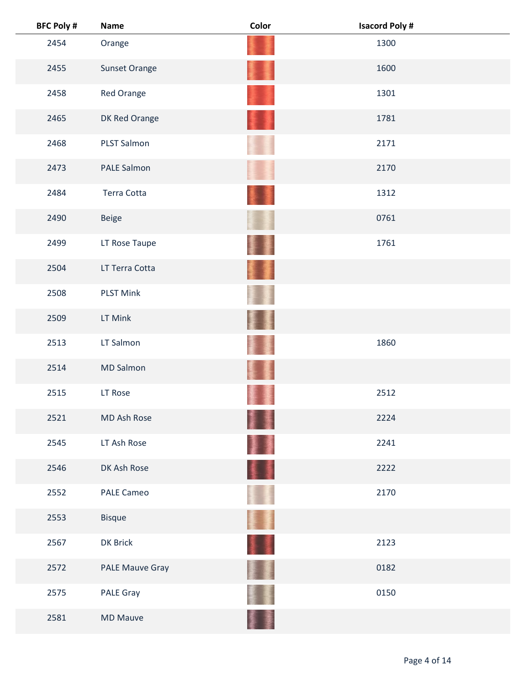| <b>BFC Poly #</b> | <b>Name</b>        | Color | <b>Isacord Poly#</b> |  |
|-------------------|--------------------|-------|----------------------|--|
| 2454              | Orange             |       | 1300                 |  |
| 2455              | Sunset Orange      |       | 1600                 |  |
| 2458              | Red Orange         |       | 1301                 |  |
| 2465              | DK Red Orange      |       | 1781                 |  |
| 2468              | PLST Salmon        |       | 2171                 |  |
| 2473              | <b>PALE Salmon</b> |       | 2170                 |  |
| 2484              | Terra Cotta        |       | 1312                 |  |
| 2490              | <b>Beige</b>       |       | 0761                 |  |
| 2499              | LT Rose Taupe      |       | 1761                 |  |
| 2504              | LT Terra Cotta     |       |                      |  |
| 2508              | <b>PLST Mink</b>   |       |                      |  |
| 2509              | LT Mink            |       |                      |  |
| 2513              | LT Salmon          |       | 1860                 |  |
| 2514              | <b>MD Salmon</b>   |       |                      |  |
| 2515              | LT Rose            |       | 2512                 |  |
| 2521              | MD Ash Rose        |       | 2224                 |  |
| 2545              | LT Ash Rose        |       | 2241                 |  |
| 2546              | DK Ash Rose        | II    | 2222                 |  |
| 2552              | <b>PALE Cameo</b>  |       | 2170                 |  |
| 2553              | <b>Bisque</b>      | 麘     |                      |  |
| 2567              | DK Brick           | 11    | 2123                 |  |
| 2572              | PALE Mauve Gray    |       | 0182                 |  |
| 2575              | <b>PALE Gray</b>   |       | 0150                 |  |
| 2581              | <b>MD Mauve</b>    |       |                      |  |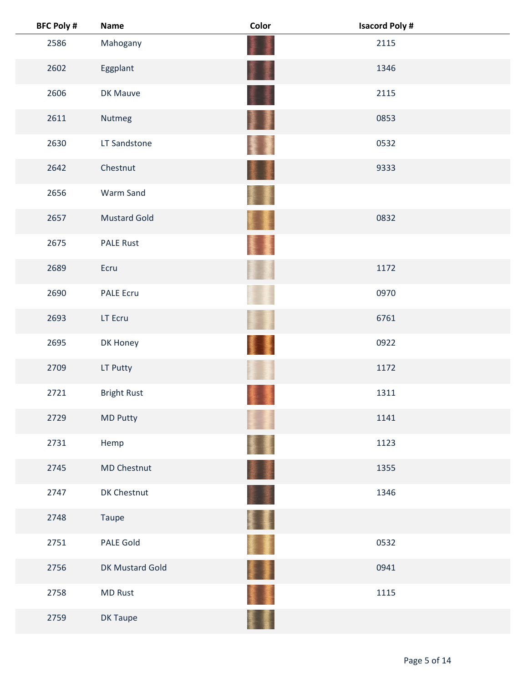| <b>BFC Poly #</b> | <b>Name</b>         | Color  | <b>Isacord Poly#</b> |  |
|-------------------|---------------------|--------|----------------------|--|
| 2586              | Mahogany            |        | 2115                 |  |
| 2602              | Eggplant            |        | 1346                 |  |
| 2606              | DK Mauve            |        | 2115                 |  |
| 2611              | Nutmeg              | 寠<br>ł | 0853                 |  |
| 2630              | LT Sandstone        |        | 0532                 |  |
| 2642              | Chestnut            |        | 9333                 |  |
| 2656              | Warm Sand           |        |                      |  |
| 2657              | <b>Mustard Gold</b> |        | 0832                 |  |
| 2675              | <b>PALE Rust</b>    |        |                      |  |
| 2689              | Ecru                |        | 1172                 |  |
| 2690              | <b>PALE Ecru</b>    |        | 0970                 |  |
| 2693              | LT Ecru             |        | 6761                 |  |
| 2695              | DK Honey            |        | 0922                 |  |
| 2709              | LT Putty            |        | 1172                 |  |
| 2721              | <b>Bright Rust</b>  |        | 1311                 |  |
| 2729              | MD Putty            |        | 1141                 |  |
| 2731              | Hemp                |        | 1123                 |  |
| 2745              | MD Chestnut         | 遷      | 1355                 |  |
| 2747              | DK Chestnut         |        | 1346                 |  |
| 2748              | Taupe               | FT.    |                      |  |
| 2751              | PALE Gold           | ł      | 0532                 |  |
| 2756              | DK Mustard Gold     | ł      | 0941                 |  |
| 2758              | <b>MD Rust</b>      |        | 1115                 |  |
| 2759              | DK Taupe            |        |                      |  |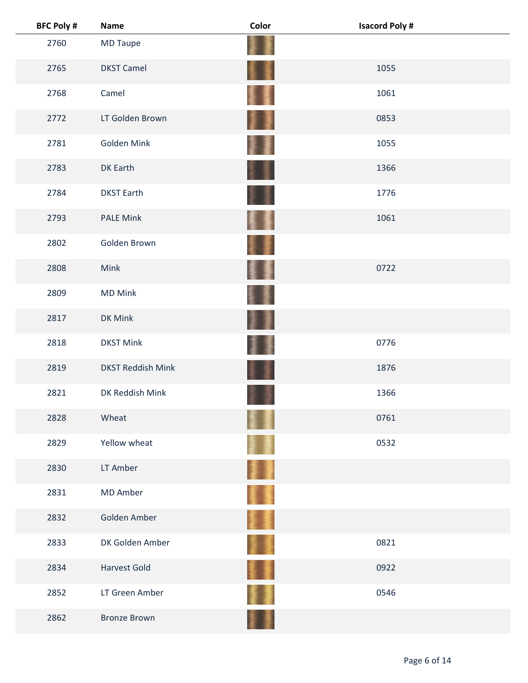| <b>BFC Poly #</b> | <b>Name</b>              | Color | <b>Isacord Poly#</b> |  |
|-------------------|--------------------------|-------|----------------------|--|
| 2760              | MD Taupe                 |       |                      |  |
| 2765              | <b>DKST Camel</b>        | ŧ     | 1055                 |  |
| 2768              | Camel                    |       | 1061                 |  |
| 2772              | LT Golden Brown          | H     | 0853                 |  |
| 2781              | Golden Mink              |       | 1055                 |  |
| 2783              | DK Earth                 |       | 1366                 |  |
| 2784              | <b>DKST Earth</b>        |       | 1776                 |  |
| 2793              | <b>PALE Mink</b>         |       | 1061                 |  |
| 2802              | Golden Brown             |       |                      |  |
| 2808              | Mink                     | 生     | 0722                 |  |
| 2809              | <b>MD Mink</b>           |       |                      |  |
| 2817              | DK Mink                  |       |                      |  |
| 2818              | <b>DKST Mink</b>         |       | 0776                 |  |
| 2819              | <b>DKST Reddish Mink</b> |       | 1876                 |  |
| 2821              | DK Reddish Mink          |       | 1366                 |  |
| 2828              | Wheat                    |       | 0761                 |  |
| 2829              | Yellow wheat             |       | 0532                 |  |
| 2830              | LT Amber                 |       |                      |  |
| 2831              | MD Amber                 |       |                      |  |
| 2832              | Golden Amber             | II.   |                      |  |
| 2833              | DK Golden Amber          |       | 0821                 |  |
| 2834              | <b>Harvest Gold</b>      |       | 0922                 |  |
| 2852              | LT Green Amber           |       | 0546                 |  |
| 2862              | <b>Bronze Brown</b>      |       |                      |  |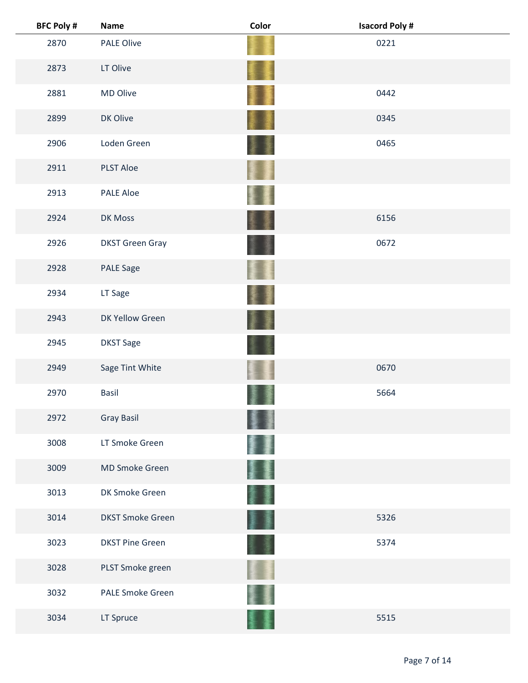| <b>BFC Poly #</b> | <b>Name</b>             | Color     | <b>Isacord Poly#</b> |
|-------------------|-------------------------|-----------|----------------------|
| 2870              | <b>PALE Olive</b>       |           | 0221                 |
| 2873              | LT Olive                |           |                      |
| 2881              | MD Olive                |           | 0442                 |
| 2899              | DK Olive                | 囔         | 0345                 |
| 2906              | Loden Green             | 美         | 0465                 |
| 2911              | <b>PLST Aloe</b>        |           |                      |
| 2913              | <b>PALE Aloe</b>        |           |                      |
| 2924              | DK Moss                 | 3         | 6156                 |
| 2926              | <b>DKST Green Gray</b>  |           | 0672                 |
| 2928              | <b>PALE Sage</b>        |           |                      |
| 2934              | LT Sage                 |           |                      |
| 2943              | DK Yellow Green         |           |                      |
| 2945              | <b>DKST Sage</b>        |           |                      |
| 2949              | Sage Tint White         |           | 0670                 |
| 2970              | <b>Basil</b>            |           | 5664                 |
| 2972              | <b>Gray Basil</b>       |           |                      |
| 3008              | LT Smoke Green          |           |                      |
| 3009              | MD Smoke Green          | 蹇         |                      |
| 3013              | DK Smoke Green          |           |                      |
| 3014              | <b>DKST Smoke Green</b> | <b>東廣</b> | 5326                 |
| 3023              | <b>DKST Pine Green</b>  |           | 5374                 |
| 3028              | PLST Smoke green        |           |                      |
| 3032              | <b>PALE Smoke Green</b> |           |                      |
| 3034              | LT Spruce               |           | 5515                 |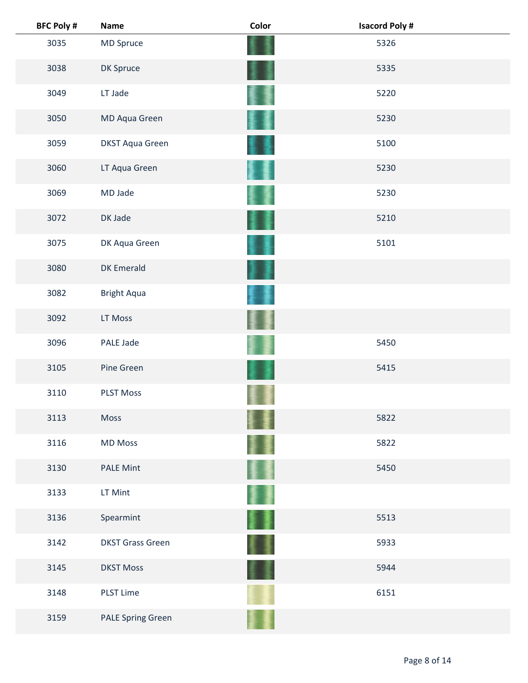| <b>BFC Poly #</b> | <b>Name</b>              | Color | <b>Isacord Poly#</b> |
|-------------------|--------------------------|-------|----------------------|
| 3035              | MD Spruce                |       | 5326                 |
| 3038              | DK Spruce                |       | 5335                 |
| 3049              | LT Jade                  |       | 5220                 |
| 3050              | MD Aqua Green            |       | 5230                 |
| 3059              | <b>DKST Aqua Green</b>   |       | 5100                 |
| 3060              | LT Aqua Green            |       | 5230                 |
| 3069              | MD Jade                  |       | 5230                 |
| 3072              | DK Jade                  |       | 5210                 |
| 3075              | DK Aqua Green            |       | 5101                 |
| 3080              | <b>DK Emerald</b>        |       |                      |
| 3082              | <b>Bright Aqua</b>       |       |                      |
| 3092              | LT Moss                  |       |                      |
| 3096              | PALE Jade                |       | 5450                 |
| 3105              | Pine Green               |       | 5415                 |
| 3110              | <b>PLST Moss</b>         |       |                      |
| 3113              | Moss                     |       | 5822                 |
| 3116              | <b>MD Moss</b>           |       | 5822                 |
| 3130              | <b>PALE Mint</b>         |       | 5450                 |
| 3133              | LT Mint                  |       |                      |
| 3136              | Spearmint                | 屢     | 5513                 |
| 3142              | <b>DKST Grass Green</b>  |       | 5933                 |
| 3145              | <b>DKST Moss</b>         |       | 5944                 |
| 3148              | <b>PLST Lime</b>         |       | 6151                 |
| 3159              | <b>PALE Spring Green</b> |       |                      |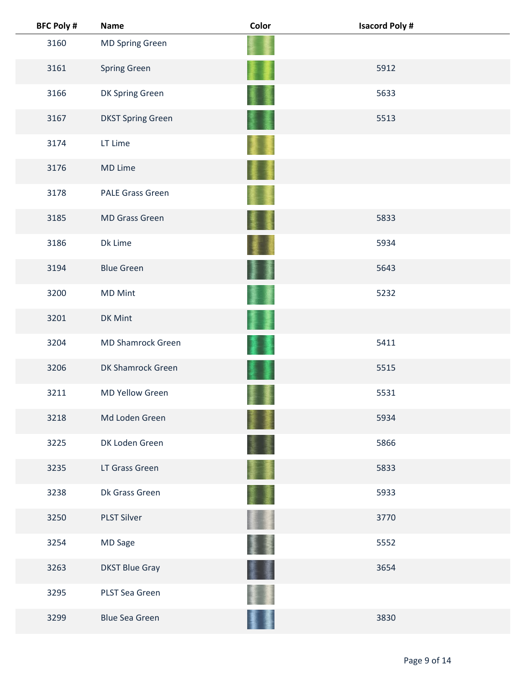| <b>BFC Poly #</b> | <b>Name</b>              | Color | <b>Isacord Poly#</b> |  |
|-------------------|--------------------------|-------|----------------------|--|
| 3160              | <b>MD Spring Green</b>   |       |                      |  |
| 3161              | Spring Green             |       | 5912                 |  |
| 3166              | DK Spring Green          |       | 5633                 |  |
| 3167              | <b>DKST Spring Green</b> |       | 5513                 |  |
| 3174              | LT Lime                  |       |                      |  |
| 3176              | MD Lime                  |       |                      |  |
| 3178              | <b>PALE Grass Green</b>  |       |                      |  |
| 3185              | <b>MD Grass Green</b>    |       | 5833                 |  |
| 3186              | Dk Lime                  |       | 5934                 |  |
| 3194              | <b>Blue Green</b>        | 廔     | 5643                 |  |
| 3200              | <b>MD Mint</b>           |       | 5232                 |  |
| 3201              | DK Mint                  |       |                      |  |
| 3204              | <b>MD Shamrock Green</b> |       | 5411                 |  |
| 3206              | DK Shamrock Green        |       | 5515                 |  |
| 3211              | <b>MD Yellow Green</b>   |       | 5531                 |  |
| 3218              | Md Loden Green           |       | 5934                 |  |
| 3225              | DK Loden Green           |       | 5866                 |  |
| 3235              | LT Grass Green           |       | 5833                 |  |
| 3238              | Dk Grass Green           |       | 5933                 |  |
| 3250              | <b>PLST Silver</b>       |       | 3770                 |  |
| 3254              | MD Sage                  |       | 5552                 |  |
| 3263              | <b>DKST Blue Gray</b>    |       | 3654                 |  |
| 3295              | PLST Sea Green           |       |                      |  |
| 3299              | <b>Blue Sea Green</b>    |       | 3830                 |  |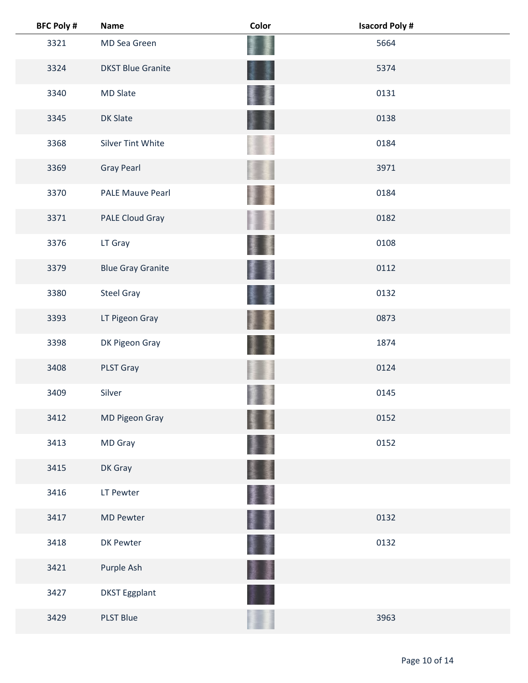| <b>BFC Poly #</b> | <b>Name</b>              | Color | <b>Isacord Poly#</b> |  |
|-------------------|--------------------------|-------|----------------------|--|
| 3321              | MD Sea Green             |       | 5664                 |  |
| 3324              | <b>DKST Blue Granite</b> |       | 5374                 |  |
| 3340              | <b>MD Slate</b>          |       | 0131                 |  |
| 3345              | <b>DK Slate</b>          |       | 0138                 |  |
| 3368              | <b>Silver Tint White</b> |       | 0184                 |  |
| 3369              | <b>Gray Pearl</b>        |       | 3971                 |  |
| 3370              | <b>PALE Mauve Pearl</b>  |       | 0184                 |  |
| 3371              | PALE Cloud Gray          |       | 0182                 |  |
| 3376              | LT Gray                  |       | 0108                 |  |
| 3379              | <b>Blue Gray Granite</b> |       | 0112                 |  |
| 3380              | <b>Steel Gray</b>        |       | 0132                 |  |
| 3393              | LT Pigeon Gray           |       | 0873                 |  |
| 3398              | DK Pigeon Gray           |       | 1874                 |  |
| 3408              | PLST Gray                |       | 0124                 |  |
| 3409              | Silver                   |       | 0145                 |  |
| 3412              | MD Pigeon Gray           |       | 0152                 |  |
| 3413              | MD Gray                  |       | 0152                 |  |
| 3415              | DK Gray                  |       |                      |  |
| 3416              | LT Pewter                | g,    |                      |  |
| 3417              | <b>MD Pewter</b>         |       | 0132                 |  |
| 3418              | DK Pewter                |       | 0132                 |  |
| 3421              | Purple Ash               |       |                      |  |
| 3427              | <b>DKST Eggplant</b>     |       |                      |  |
| 3429              | <b>PLST Blue</b>         |       | 3963                 |  |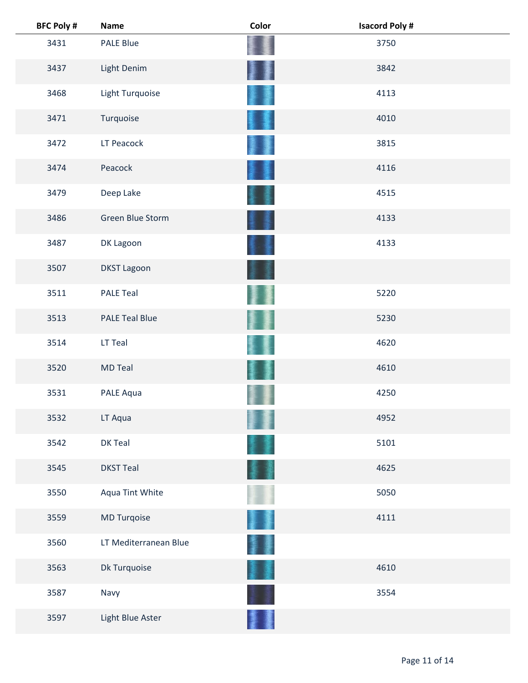| <b>BFC Poly #</b> | <b>Name</b>           | Color | <b>Isacord Poly#</b> |  |
|-------------------|-----------------------|-------|----------------------|--|
| 3431              | <b>PALE Blue</b>      |       | 3750                 |  |
| 3437              | Light Denim           |       | 3842                 |  |
| 3468              | Light Turquoise       |       | 4113                 |  |
| 3471              | Turquoise             |       | 4010                 |  |
| 3472              | LT Peacock            |       | 3815                 |  |
| 3474              | Peacock               |       | 4116                 |  |
| 3479              | Deep Lake             |       | 4515                 |  |
| 3486              | Green Blue Storm      |       | 4133                 |  |
| 3487              | DK Lagoon             |       | 4133                 |  |
| 3507              | <b>DKST Lagoon</b>    |       |                      |  |
| 3511              | <b>PALE Teal</b>      |       | 5220                 |  |
| 3513              | <b>PALE Teal Blue</b> |       | 5230                 |  |
| 3514              | LT Teal               |       | 4620                 |  |
| 3520              | <b>MD Teal</b>        |       | 4610                 |  |
| 3531              | PALE Aqua             |       | 4250                 |  |
| 3532              | LT Aqua               |       | 4952                 |  |
| 3542              | DK Teal               |       | 5101                 |  |
| 3545              | <b>DKST Teal</b>      |       | 4625                 |  |
| 3550              | Aqua Tint White       |       | 5050                 |  |
| 3559              | MD Turqoise           |       | 4111                 |  |
| 3560              | LT Mediterranean Blue |       |                      |  |
| 3563              | Dk Turquoise          |       | 4610                 |  |
| 3587              | Navy                  |       | 3554                 |  |
| 3597              | Light Blue Aster      |       |                      |  |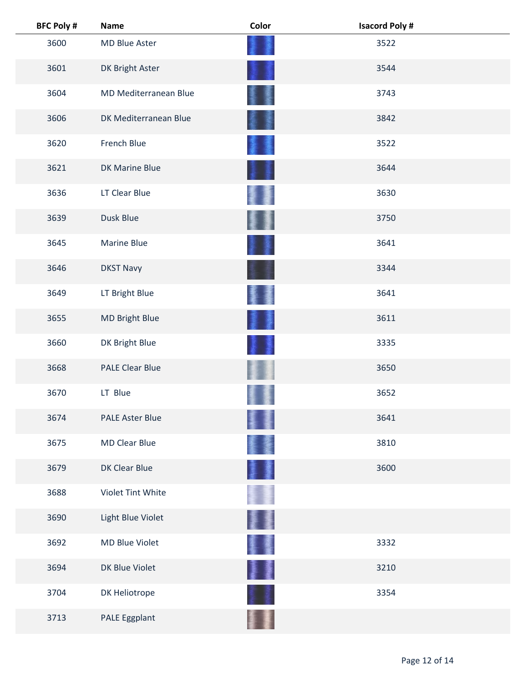| <b>BFC Poly #</b> | <b>Name</b>            | Color  | <b>Isacord Poly#</b> |  |
|-------------------|------------------------|--------|----------------------|--|
| 3600              | MD Blue Aster          |        | 3522                 |  |
| 3601              | DK Bright Aster        |        | 3544                 |  |
| 3604              | MD Mediterranean Blue  |        | 3743                 |  |
| 3606              | DK Mediterranean Blue  |        | 3842                 |  |
| 3620              | French Blue            |        | 3522                 |  |
| 3621              | <b>DK Marine Blue</b>  |        | 3644                 |  |
| 3636              | LT Clear Blue          |        | 3630                 |  |
| 3639              | Dusk Blue              |        | 3750                 |  |
| 3645              | <b>Marine Blue</b>     |        | 3641                 |  |
| 3646              | <b>DKST Navy</b>       |        | 3344                 |  |
| 3649              | LT Bright Blue         |        | 3641                 |  |
| 3655              | <b>MD Bright Blue</b>  | 濹      | 3611                 |  |
| 3660              | DK Bright Blue         |        | 3335                 |  |
| 3668              | <b>PALE Clear Blue</b> |        | 3650                 |  |
| 3670              | LT Blue                |        | 3652                 |  |
| 3674              | <b>PALE Aster Blue</b> |        | 3641                 |  |
| 3675              | <b>MD Clear Blue</b>   |        | 3810                 |  |
| 3679              | DK Clear Blue          | 濹      | 3600                 |  |
| 3688              | Violet Tint White      |        |                      |  |
| 3690              | Light Blue Violet      |        |                      |  |
| 3692              | MD Blue Violet         | 優      | 3332                 |  |
| 3694              | DK Blue Violet         | ł<br>漫 | 3210                 |  |
| 3704              | DK Heliotrope          |        | 3354                 |  |
| 3713              | PALE Eggplant          |        |                      |  |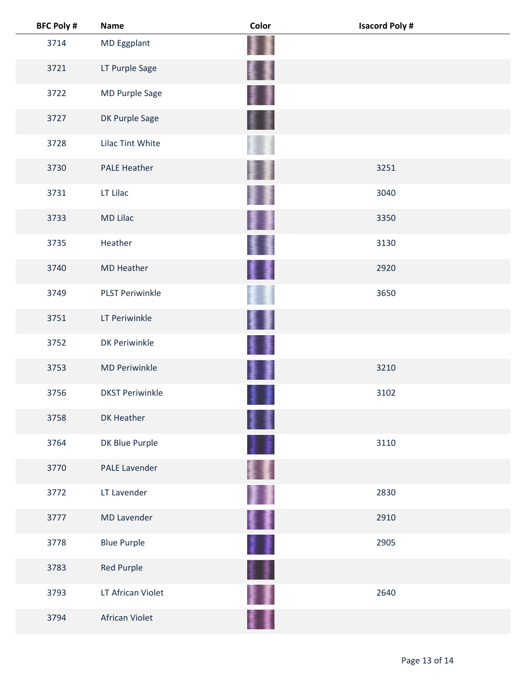| <b>BFC Poly #</b> | <b>Name</b>            | Color    | <b>Isacord Poly#</b> |
|-------------------|------------------------|----------|----------------------|
| 3714              | MD Eggplant            |          |                      |
| 3721              | LT Purple Sage         | ł.       |                      |
| 3722              | MD Purple Sage         |          |                      |
| 3727              | DK Purple Sage         |          |                      |
| 3728              | Lilac Tint White       |          |                      |
| 3730              | <b>PALE Heather</b>    |          | 3251                 |
| 3731              | LT Lilac               |          | 3040                 |
| 3733              | <b>MD Lilac</b>        |          | 3350                 |
| 3735              | Heather                |          | 3130                 |
| 3740              | <b>MD Heather</b>      | Į        | 2920                 |
| 3749              | <b>PLST Periwinkle</b> |          | 3650                 |
| 3751              | LT Periwinkle          |          |                      |
| 3752              | <b>DK Periwinkle</b>   |          |                      |
| 3753              | <b>MD Periwinkle</b>   | 廔        | 3210                 |
| 3756              | <b>DKST Periwinkle</b> |          | 3102                 |
| 3758              | DK Heather             |          |                      |
| 3764              | DK Blue Purple         |          | 3110                 |
| 3770              | <b>PALE Lavender</b>   |          |                      |
| 3772              | LT Lavender            |          | 2830                 |
| 3777              | <b>MD Lavender</b>     | 撃乱 かんじょう | 2910                 |
| 3778              | <b>Blue Purple</b>     | 1        | 2905                 |
| 3783              | <b>Red Purple</b>      |          |                      |
| 3793              | LT African Violet      |          | 2640                 |
| 3794              | African Violet         |          |                      |